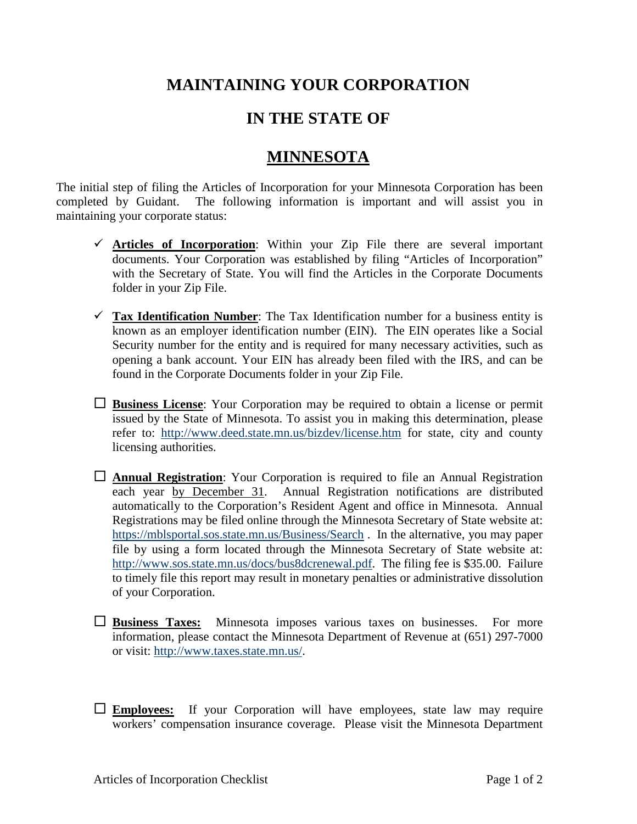## **MAINTAINING YOUR CORPORATION**

## **IN THE STATE OF**

## **MINNESOTA**

The initial step of filing the Articles of Incorporation for your Minnesota Corporation has been completed by Guidant. The following information is important and will assist you in maintaining your corporate status:

- $\checkmark$  **Articles of Incorporation**: Within your Zip File there are several important documents. Your Corporation was established by filing "Articles of Incorporation" with the Secretary of State. You will find the Articles in the Corporate Documents folder in your Zip File.
- $\checkmark$  Tax Identification Number: The Tax Identification number for a business entity is known as an employer identification number (EIN). The EIN operates like a Social Security number for the entity and is required for many necessary activities, such as opening a bank account. Your EIN has already been filed with the IRS, and can be found in the Corporate Documents folder in your Zip File.
- **Business License**: Your Corporation may be required to obtain a license or permit issued by the State of Minnesota. To assist you in making this determination, please refer to: <http://www.deed.state.mn.us/bizdev/license.htm> for state, city and county licensing authorities.
- **Annual Registration**: Your Corporation is required to file an Annual Registration each year by December 31. Annual Registration notifications are distributed automatically to the Corporation's Resident Agent and office in Minnesota. Annual Registrations may be filed online through the Minnesota Secretary of State website at: <https://mblsportal.sos.state.mn.us/Business/Search> . In the alternative, you may paper file by using a form located through the Minnesota Secretary of State website at: [http://www.sos.state.mn.us/docs/bus8dcrenewal.pdf.](http://www.sos.state.mn.us/docs/bus8dcrenewal.pdf) The filing fee is \$35.00. Failure to timely file this report may result in monetary penalties or administrative dissolution of your Corporation.
- **Business Taxes:** Minnesota imposes various taxes on businesses. For more information, please contact the Minnesota Department of Revenue at (651) 297-7000 or visit: [http://www.taxes.state.mn.us/.](http://www.taxes.state.mn.us/)
- **Employees:** If your Corporation will have employees, state law may require workers' compensation insurance coverage. Please visit the Minnesota Department